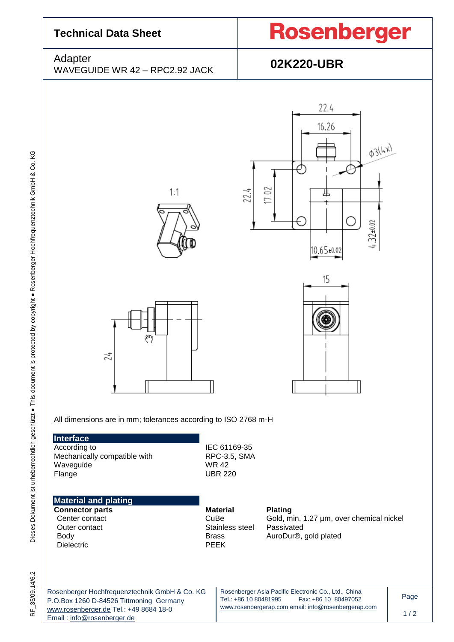| <b>Technical Data Sheet</b>                                                                                           |                                                                           | <b>Rosenberger</b>                                                                                             |      |  |
|-----------------------------------------------------------------------------------------------------------------------|---------------------------------------------------------------------------|----------------------------------------------------------------------------------------------------------------|------|--|
| Adapter<br>WAVEGUIDE WR 42 - RPC2.92 JACK                                                                             |                                                                           | 02K220-UBR                                                                                                     |      |  |
| 1:1<br>ళ్లొ<br>24<br>All dimensions are in mm; tolerances according to ISO 2768 m-H<br>Interface<br>According to      | 22.4<br>IEC 61169-35                                                      | 22.4<br>16.26<br><b>03/4x)</b><br>⌒<br>17.02<br>╨<br>С<br>E.<br>$4.32 + 0.02$<br>$10.65 \pm 0.02$<br>15        |      |  |
| Mechanically compatible with<br>Waveguide<br>Flange                                                                   | RPC-3.5, SMA<br><b>WR42</b><br><b>UBR 220</b>                             |                                                                                                                |      |  |
| <b>Material and plating</b><br><b>Connector parts</b><br>Center contact<br>Outer contact<br>Body<br><b>Dielectric</b> | <b>Material</b><br>CuBe<br>Stainless steel<br><b>Brass</b><br><b>PEEK</b> | <b>Plating</b><br>Gold, min. 1.27 µm, over chemical nickel<br>Passivated<br>AuroDur <sup>®</sup> , gold plated |      |  |
| Rosenberger Hochfrequenztechnik GmbH & Co. KG<br>P.O.Box 1260 D-84526 Tittmoning Germany                              | Tel.: +86 10 80481995                                                     | Rosenberger Asia Pacific Electronic Co., Ltd., China<br>Fax: +86 10 80497052                                   | Page |  |
| www.rosenberger.de Tel.: +49 8684 18-0<br>Email: info@rosenberger.de                                                  |                                                                           | www.rosenbergerap.com email: info@rosenbergerap.com                                                            | 1/2  |  |